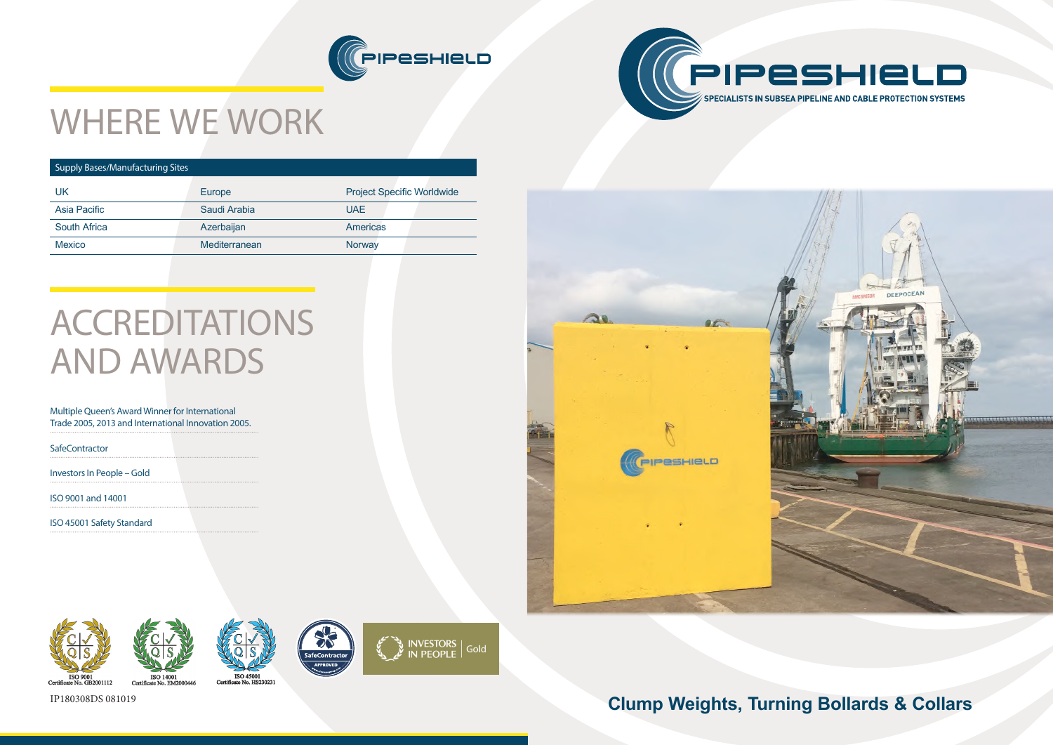







# WHERE WE WORK

### Supply Bases/Manufacturing Sites

| UK                  | Europe        | <b>Project Specific Worldwide</b> |
|---------------------|---------------|-----------------------------------|
| Asia Pacific        | Saudi Arabia  | UAE.                              |
| <b>South Africa</b> | Azerbaijan    | <b>Americas</b>                   |
| <b>Mexico</b>       | Mediterranean | Norway                            |
|                     |               |                                   |

# ACCREDITATIONS AND AWARDS

#### Multiple Queen's Award Winner for International Trade 2005, 2013 and International Innovation 2005.

**SafeContractor** 

Investors In People – Gold

ISO 9001 and 14001

ISO 45001 Safety Standard







## IP180308DS 081019 **Clump Weights, Turning Bollards & Collars**